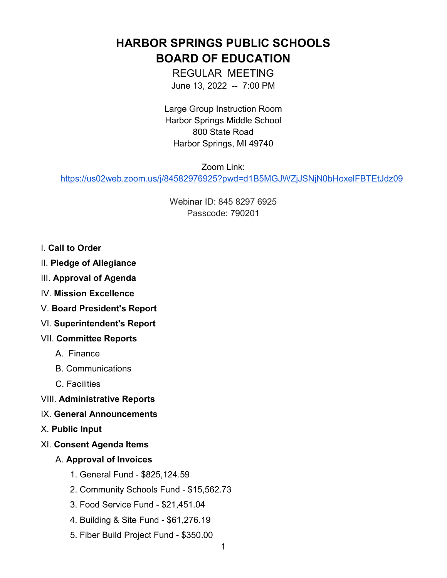HARBOR SPRINGS PUBLIC SCHOOLS BOARD OF EDUCATION

> REGULAR MEETING June 13, 2022 -- 7:00 PM

Large Group Instruction Room Harbor Springs Middle School 800 State Road Harbor Springs, MI 49740

Zoom Link:

https://us02web.zoom.us/j/84582976925?pwd=d1B5MGJWZjJSNjN0bHoxelFBTEtJdz09

Webinar ID: 845 8297 6925 Passcode: 790201

- I. Call to Order
- II. Pledge of Allegiance
- III. Approval of Agenda
- IV. Mission Excellence
- V. Board President's Report
- VI. Superintendent's Report
- VII. Committee Reports
	- A. Finance
	- B. Communications
	- C. Facilities
- VIII. Administrative Reports
- IX. General Announcements
- X. Public Input
- XI. Consent Agenda Items
	- A. Approval of Invoices
		- 1. General Fund \$825,124.59
		- 2. Community Schools Fund \$15,562.73
		- 3. Food Service Fund \$21,451.04
		- 4. Building & Site Fund \$61,276.19
		- 5. Fiber Build Project Fund \$350.00